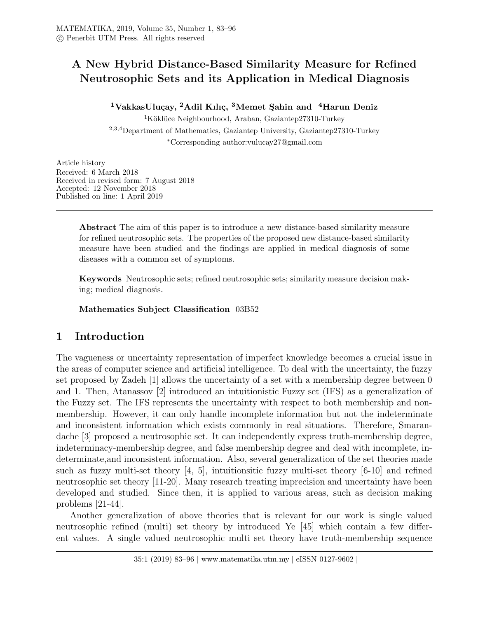# A New Hybrid Distance-Based Similarity Measure for Refined Neutrosophic Sets and its Application in Medical Diagnosis

<sup>1</sup>VakkasUluçay, <sup>2</sup>Adil Kılıç, <sup>3</sup>Memet Şahin and <sup>4</sup>Harun Deniz

 $1$ Köklüce Neighbourhood, Araban, Gaziantep27310-Turkey <sup>2</sup>,3,4Department of Mathematics, Gaziantep University, Gaziantep27310-Turkey <sup>∗</sup>Corresponding author:vulucay27@gmail.com

Article history Received: 6 March 2018 Received in revised form: 7 August 2018 Accepted: 12 November 2018 Published on line: 1 April 2019

> Abstract The aim of this paper is to introduce a new distance-based similarity measure for refined neutrosophic sets. The properties of the proposed new distance-based similarity measure have been studied and the findings are applied in medical diagnosis of some diseases with a common set of symptoms.

> Keywords Neutrosophic sets; refined neutrosophic sets; similarity measure decision making; medical diagnosis.

Mathematics Subject Classification 03B52

# 1 Introduction

The vagueness or uncertainty representation of imperfect knowledge becomes a crucial issue in the areas of computer science and artificial intelligence. To deal with the uncertainty, the fuzzy set proposed by Zadeh [1] allows the uncertainty of a set with a membership degree between 0 and 1. Then, Atanassov [2] introduced an intuitionistic Fuzzy set (IFS) as a generalization of the Fuzzy set. The IFS represents the uncertainty with respect to both membership and nonmembership. However, it can only handle incomplete information but not the indeterminate and inconsistent information which exists commonly in real situations. Therefore, Smarandache [3] proposed a neutrosophic set. It can independently express truth-membership degree, indeterminacy-membership degree, and false membership degree and deal with incomplete, indeterminate,and inconsistent information. Also, several generalization of the set theories made such as fuzzy multi-set theory [4, 5], intuitionsitic fuzzy multi-set theory [6-10] and refined neutrosophic set theory [11-20]. Many research treating imprecision and uncertainty have been developed and studied. Since then, it is applied to various areas, such as decision making problems [21-44].

Another generalization of above theories that is relevant for our work is single valued neutrosophic refined (multi) set theory by introduced Ye [45] which contain a few different values. A single valued neutrosophic multi set theory have truth-membership sequence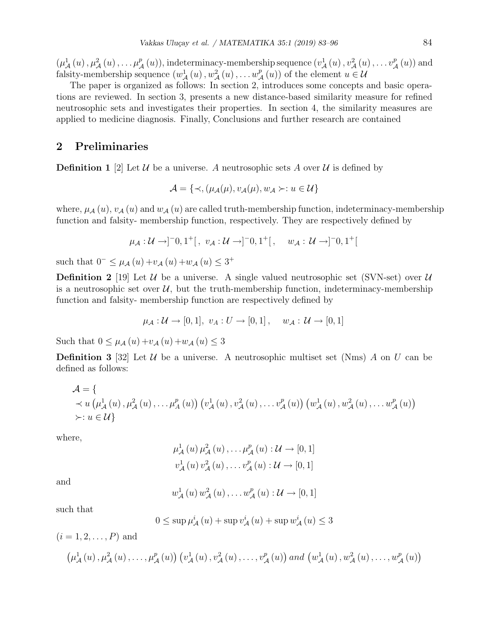$(\mu^1_{\mathcal{A}}(u), \mu^2_{\mathcal{A}}(u), \ldots, \mu^p_{\mathcal{A}}(u)),$  indeterminacy-membership sequence  $(v^1_{\mathcal{A}}(u), v^2_{\mathcal{A}}(u), \ldots, v^p_{\mathcal{A}}(u))$  and falsity-membership sequence  $(w_A^1(u), w_A^2(u), \ldots w_A^p(u))$  of the element  $u \in \mathcal{U}$ 

The paper is organized as follows: In section 2, introduces some concepts and basic operations are reviewed. In section 3, presents a new distance-based similarity measure for refined neutrosophic sets and investigates their properties. In section 4, the similarity measures are applied to medicine diagnosis. Finally, Conclusions and further research are contained

## 2 Preliminaries

**Definition 1** [2] Let U be a universe. A neutrosophic sets A over U is defined by

$$
\mathcal{A} = \{ \prec, (\mu_{\mathcal{A}}(\mu), v_{\mathcal{A}}(\mu), w_{\mathcal{A}} \succ : u \in \mathcal{U} \}
$$

where,  $\mu_{\mathcal{A}}(u)$ ,  $v_{\mathcal{A}}(u)$  and  $w_{\mathcal{A}}(u)$  are called truth-membership function, indeterminacy-membership function and falsity- membership function, respectively. They are respectively defined by

$$
\mu_{\mathcal{A}} : \mathcal{U} \to ]^{-0}, 1^{+}[, \ v_{\mathcal{A}} : \mathcal{U} \to ]^{-0}, 1^{+}[ , \ w_{\mathcal{A}} : \mathcal{U} \to ]^{-0}, 1^{+}[
$$

such that  $0^{-} \leq \mu_{A}(u) + v_{A}(u) + w_{A}(u) \leq 3^{+}$ 

**Definition 2** [19] Let U be a universe. A single valued neutrosophic set (SVN-set) over U is a neutrosophic set over  $\mathcal{U}$ , but the truth-membership function, indeterminacy-membership function and falsity- membership function are respectively defined by

$$
\mu_{\mathcal{A}} : \mathcal{U} \to [0,1], v_A : U \to [0,1], w_{\mathcal{A}} : \mathcal{U} \to [0,1]
$$

Such that  $0 \le \mu_A(u) + v_A(u) + w_A(u) \le 3$ 

**Definition 3** [32] Let U be a universe. A neutrosophic multiset set (Nms) A on U can be defined as follows:

$$
\mathcal{A} = \{ \n\prec u \left( \mu_A^1(u), \mu_A^2(u), \ldots, \mu_A^p(u) \right) \left( v_A^1(u), v_A^2(u), \ldots, v_A^p(u) \right) \left( w_A^1(u), w_A^2(u), \ldots, w_A^p(u) \right) \rangle \n\succ: u \in \mathcal{U} \}
$$

where,

$$
\mu_{\mathcal{A}}^{1}(u) \mu_{\mathcal{A}}^{2}(u), \ldots, \mu_{\mathcal{A}}^{p}(u) : \mathcal{U} \to [0, 1]
$$
  
\n $v_{\mathcal{A}}^{1}(u) v_{\mathcal{A}}^{2}(u), \ldots, v_{\mathcal{A}}^{p}(u) : \mathcal{U} \to [0, 1]$ 

and

$$
w_{\mathcal{A}}^{1}(u) w_{\mathcal{A}}^{2}(u), \ldots w_{\mathcal{A}}^{p}(u) : \mathcal{U} \rightarrow [0,1]
$$

such that

$$
0 \leq \sup \mu_{\mathcal{A}}^{i}(u) + \sup v_{\mathcal{A}}^{i}(u) + \sup w_{\mathcal{A}}^{i}(u) \leq 3
$$

$$
(i = 1, 2, ..., P) \text{ and}
$$
  

$$
(\mu_{\mathcal{A}}^1(u), \mu_{\mathcal{A}}^2(u), ..., \mu_{\mathcal{A}}^p(u)) (v_{\mathcal{A}}^1(u), v_{\mathcal{A}}^2(u), ..., v_{\mathcal{A}}^p(u)) \text{ and } (w_{\mathcal{A}}^1(u), w_{\mathcal{A}}^2(u), ..., w_{\mathcal{A}}^p(u))
$$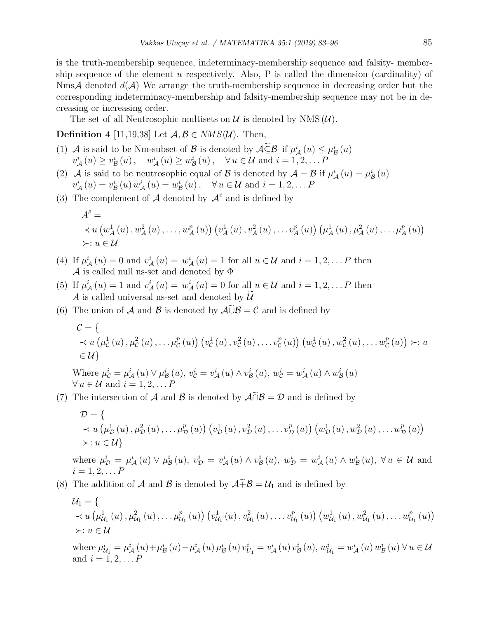is the truth-membership sequence, indeterminacy-membership sequence and falsity- membership sequence of the element u respectively. Also,  $P$  is called the dimension (cardinality) of NmsA denoted  $d(\mathcal{A})$  We arrange the truth-membership sequence in decreasing order but the corresponding indeterminacy-membership and falsity-membership sequence may not be in decreasing or increasing order.

The set of all Neutrosophic multisets on  $\mathcal U$  is denoted by NMS  $(\mathcal U)$ .

### **Definition** 4 [11,19,38] Let  $A, B \in NMS(\mathcal{U})$ . Then,

- (1) A is said to be Nm-subset of B is denoted by  $\mathcal{A}\underline{\tilde{\subseteq}}\mathcal{B}$  if  $\mu^i_{\mathcal{A}}(u) \leq \mu^i_{\mathcal{B}}(u)$  $v^i_{\mathcal{A}}(u) \geq v^i_{\mathcal{B}}(u), \quad w^i_{\mathcal{A}}(u) \geq w^i_{\mathcal{B}}(u), \quad \forall u \in \mathcal{U} \text{ and } i = 1, 2, \dots P$
- (2) A is said to be neutrosophic equal of B is denoted by  $A = B$  if  $\mu_A^i(u) = \mu_B^i(u)$  $v^i_{\mathcal{A}}(u) = v^i_{\mathcal{B}}(u) w^i_{\mathcal{A}}(u) = w^i_{\mathcal{B}}(u), \quad \forall u \in \mathcal{U} \text{ and } i = 1, 2, \dots P$
- (3) The complement of A denoted by  $\mathcal{A}^{\tilde{c}}$  and is defined by

$$
A^{\tilde{c}} =
$$
  
\n
$$
\prec u \left( w_A^1(u), w_A^2(u), \dots, w_A^p(u) \right) \left( v_A^1(u), v_A^2(u), \dots, v_A^p(u) \right) \left( \mu_A^1(u), \mu_A^2(u), \dots, \mu_A^p(u) \right)
$$
  
\n
$$
\succ: u \in \mathcal{U}
$$

- (4) If  $\mu^i_{\mathcal{A}}(u) = 0$  and  $v^i_{\mathcal{A}}(u) = w^i_{\mathcal{A}}(u) = 1$  for all  $u \in \mathcal{U}$  and  $i = 1, 2, \dots P$  then  ${\mathcal A}$  is called null ns-set and denoted by  $\Phi$
- (5) If  $\mu^i_{\mathcal{A}}(u) = 1$  and  $v^i_{\mathcal{A}}(u) = w^i_{\mathcal{A}}(u) = 0$  for all  $u \in \mathcal{U}$  and  $i = 1, 2, \dots P$  then A is called universal ns-set and denoted by  $\widetilde{\mathcal{U}}$
- (6) The union of A and B is denoted by  $\mathcal{A}\tilde{\cup}\mathcal{B}=\mathcal{C}$  and is defined by

$$
C = \{ \n\prec u(\mu_C^1(u), \mu_C^2(u), \dots, \mu_C^p(u)) (v_C^1(u), v_C^2(u), \dots, v_C^p(u)) (w_C^1(u), w_C^2(u), \dots, w_C^p(u)) \succ u \n\in \mathcal{U} \}
$$

Where  $\mu_{\mathcal{C}}^i = \mu_{\mathcal{A}}^i(u) \vee \mu_{\mathcal{B}}^i(u), v_{\mathcal{C}}^i = v_{\mathcal{A}}^i(u) \wedge v_{\mathcal{B}}^i(u), w_{\mathcal{C}}^i = w_{\mathcal{A}}^i(u) \wedge w_{\mathcal{B}}^i(u)$  $\forall u \in \mathcal{U} \text{ and } i = 1, 2, \dots P$ 

(7) The intersection of A and B is denoted by  $\mathcal{A} \cap \mathcal{B} = \mathcal{D}$  and is defined by

$$
D = \{ \times u \left( \mu_{\mathcal{D}}^{1}(u), \mu_{\mathcal{D}}^{2}(u), \ldots, \mu_{\mathcal{D}}^{p}(u) \right) \left( v_{\mathcal{D}}^{1}(u), v_{\mathcal{D}}^{2}(u), \ldots, v_{D}^{p}(u) \right) \left( w_{\mathcal{D}}^{1}(u), w_{\mathcal{D}}^{2}(u), \ldots, w_{\mathcal{D}}^{p}(u) \right) \} \times : u \in \mathcal{U} \}
$$

where  $\mu_{\mathcal{D}}^i = \mu_{\mathcal{A}}^i(u) \vee \mu_{\mathcal{B}}^i(u), v_{\mathcal{D}}^i = v_{\mathcal{A}}^i(u) \wedge v_{\mathcal{B}}^i(u), w_{\mathcal{D}}^i = w_{\mathcal{A}}^i(u) \wedge w_{\mathcal{B}}^i(u), \forall u \in \mathcal{U}$  and  $i = 1, 2, \ldots P$ 

(8) The addition of A and B is denoted by  $\mathcal{A} \tilde{+} \mathcal{B} = \mathcal{U}_1$  and is defined by

$$
U_{1} = \{ \times u \left( \mu_{\mathcal{U}_{1}}^{1}(u), \mu_{\mathcal{U}_{1}}^{2}(u), \ldots, \mu_{\mathcal{U}_{1}}^{p}(u) \right) \left( v_{\mathcal{U}_{1}}^{1}(u), v_{\mathcal{U}_{1}}^{2}(u), \ldots, v_{\mathcal{U}_{1}}^{p}(u) \right) \left( w_{\mathcal{U}_{1}}^{1}(u), w_{\mathcal{U}_{1}}^{2}(u), \ldots, w_{\mathcal{U}_{1}}^{p}(u) \right) \times : u \in \mathcal{U} \}
$$

where  $\mu_{\mathcal{U}_1}^i = \mu_{\mathcal{A}}^i(u) + \mu_{\mathcal{B}}^i(u) - \mu_{\mathcal{A}}^i(u) \mu_{\mathcal{B}}^i(u) v_{U_1}^i = v_{\mathcal{A}}^i(u) v_{\mathcal{B}}^i(u), w_{\mathcal{U}_1}^i = w_{\mathcal{A}}^i(u) w_{\mathcal{B}}^i(u) \forall u \in \mathcal{U}$ and  $i = 1, 2, \dots P$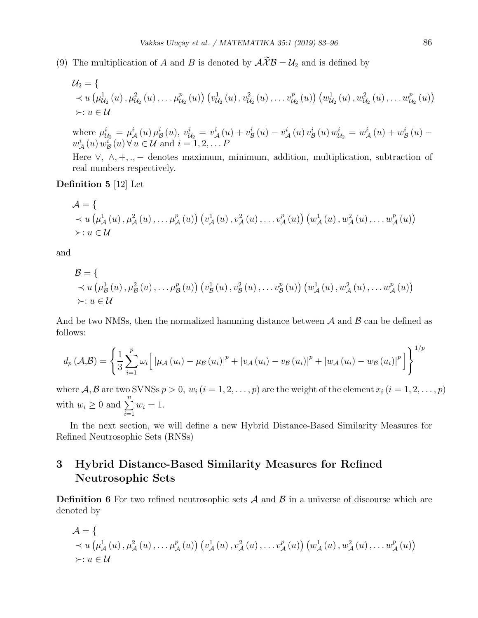(9) The multiplication of A and B is denoted by  $\mathcal{A}\widetilde{\mathcal{X}}\mathcal{B}=\mathcal{U}_2$  and is defined by

$$
U_2 = \{ \times u \left( \mu_{\mathcal{U}_2}^1(u), \mu_{\mathcal{U}_2}^2(u), \ldots, \mu_{\mathcal{U}_2}^p(u) \right) \left( v_{\mathcal{U}_2}^1(u), v_{\mathcal{U}_2}^2(u), \ldots, v_{\mathcal{U}_2}^p(u) \right) \left( w_{\mathcal{U}_2}^1(u), w_{\mathcal{U}_2}^2(u), \ldots, w_{\mathcal{U}_2}^p(u) \right) \}
$$
  
  $\times u \in \mathcal{U}$ 

where  $\mu_{\mathcal{U}_2}^i = \mu_{\mathcal{A}}^i(u)\mu_{\mathcal{B}}^i(u), v_{\mathcal{U}_2}^i = v_{\mathcal{A}}^i(u) + v_{\mathcal{B}}^i(u) - v_{\mathcal{A}}^i(u)v_{\mathcal{B}}^i(u)w_{\mathcal{U}_2}^i = w_{\mathcal{A}}^i(u) + w_{\mathcal{B}}^i(u) - v_{\mathcal{A}}^i(u)w_{\mathcal{U}_2}^i$  $w^i_{\mathcal{A}}(u) w^i_{\mathcal{B}}(u)$   $\forall u \in \mathcal{U}$  and  $i = 1, 2, \dots P$ 

Here  $\vee$ ,  $\wedge$ ,  $+$ ,  $\cdots$  denotes maximum, minimum, addition, multiplication, subtraction of real numbers respectively.

Definition 5 [12] Let

$$
\mathcal{A} = \{ \times u \left( \mu_{\mathcal{A}}^{1}(u), \mu_{\mathcal{A}}^{2}(u), \ldots, \mu_{\mathcal{A}}^{p}(u) \right) \left( v_{\mathcal{A}}^{1}(u), v_{\mathcal{A}}^{2}(u), \ldots, v_{\mathcal{A}}^{p}(u) \right) \left( w_{\mathcal{A}}^{1}(u), w_{\mathcal{A}}^{2}(u), \ldots, w_{\mathcal{A}}^{p}(u) \right) \times u \in \mathcal{U}
$$

and

$$
\mathcal{B} = \{ \times u \left( \mu_{\mathcal{B}}^1(u), \mu_{\mathcal{B}}^2(u), \ldots, \mu_{\mathcal{B}}^p(u) \right) \left( v_{\mathcal{B}}^1(u), v_{\mathcal{B}}^2(u), \ldots, v_{\mathcal{B}}^p(u) \right) \left( w_{\mathcal{A}}^1(u), w_{\mathcal{A}}^2(u), \ldots, w_{\mathcal{A}}^p(u) \right) \}
$$
  
 
$$
\succ u \in \mathcal{U}
$$

And be two NMSs, then the normalized hamming distance between  $A$  and  $B$  can be defined as follows:

$$
d_{p}\left(\mathcal{A},\mathcal{B}\right) = \left\{\frac{1}{3}\sum_{i=1}^{p}\omega_{i}\bigg[\left|\mu_{\mathcal{A}}\left(u_{i}\right)-\mu_{\mathcal{B}}\left(u_{i}\right)\right|^{p}+\left|v_{\mathcal{A}}\left(u_{i}\right)-v_{\mathcal{B}}\left(u_{i}\right)\right|^{p}+\left|w_{\mathcal{A}}\left(u_{i}\right)-w_{\mathcal{B}}\left(u_{i}\right)\right|^{p}\bigg]\right\}^{1/p}
$$

where  $A, B$  are two SVNSs  $p > 0$ ,  $w_i$   $(i = 1, 2, ..., p)$  are the weight of the element  $x_i$   $(i = 1, 2, ..., p)$ with  $w_i \geq 0$  and  $\sum_{i=1}^{n}$  $i=1$  $w_i = 1$ .

In the next section, we will define a new Hybrid Distance-Based Similarity Measures for Refined Neutrosophic Sets (RNSs)

## 3 Hybrid Distance-Based Similarity Measures for Refined Neutrosophic Sets

**Definition 6** For two refined neutrosophic sets  $\mathcal A$  and  $\mathcal B$  in a universe of discourse which are denoted by

$$
\mathcal{A} = \{ \times u \left( \mu_{\mathcal{A}}^{1}(u), \mu_{\mathcal{A}}^{2}(u), \ldots \mu_{\mathcal{A}}^{p}(u) \right) \left( v_{\mathcal{A}}^{1}(u), v_{\mathcal{A}}^{2}(u), \ldots v_{\mathcal{A}}^{p}(u) \right) \left( w_{\mathcal{A}}^{1}(u), w_{\mathcal{A}}^{2}(u), \ldots w_{\mathcal{A}}^{p}(u) \right) \} \\ \succ: u \in \mathcal{U}
$$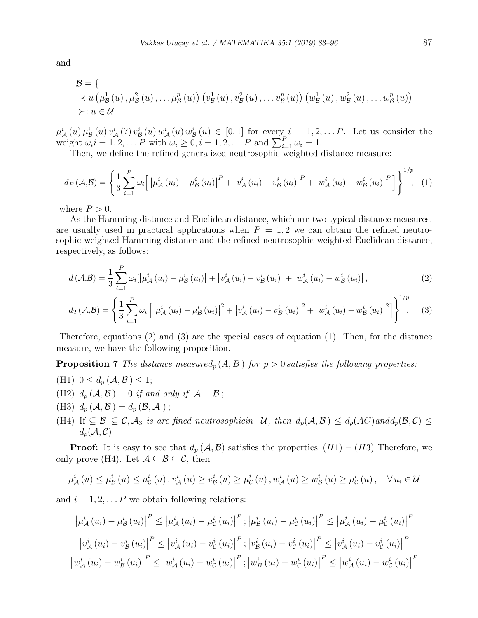and

$$
\mathcal{B} = \{ \times u \left( \mu_{\mathcal{B}}^1(u), \mu_{\mathcal{B}}^2(u), \ldots, \mu_{\mathcal{B}}^p(u) \right) \left( v_{\mathcal{B}}^1(u), v_{\mathcal{B}}^2(u), \ldots, v_{\mathcal{B}}^p(u) \right) \left( w_{\mathcal{B}}^1(u), w_{\mathcal{B}}^2(u), \ldots, w_{\mathcal{B}}^p(u) \right) \}
$$
  
 
$$
\times : u \in \mathcal{U}
$$

 $\mu^i_{\mathcal{A}}(u)\mu^i_{\mathcal{B}}(u)v^i_{\mathcal{A}}(?)v^i_{\mathcal{B}}(u)w^i_{\mathcal{A}}(u)w^i_{\mathcal{B}}(u) \in [0,1]$  for every  $i=1,2,\ldots P$ . Let us consider the weight  $\omega_i i = 1, 2, \ldots P$  with  $\omega_i \geq 0, i = 1, 2, \ldots P$  and  $\sum_{i=1}^P \omega_i = 1$ .

Then, we define the refined generalized neutrosophic weighted distance measure:

$$
d_{P}(\mathcal{A}, \mathcal{B}) = \left\{ \frac{1}{3} \sum_{i=1}^{P} \omega_{i} \left[ \left| \mu_{\mathcal{A}}^{i}(u_{i}) - \mu_{\mathcal{B}}^{i}(u_{i}) \right|^{P} + \left| v_{\mathcal{A}}^{i}(u_{i}) - v_{\mathcal{B}}^{i}(u_{i}) \right|^{P} + \left| w_{\mathcal{A}}^{i}(u_{i}) - w_{\mathcal{B}}^{i}(u_{i}) \right|^{P} \right] \right\}^{1/p}, \quad (1)
$$

where  $P > 0$ .

As the Hamming distance and Euclidean distance, which are two typical distance measures, are usually used in practical applications when  $P = 1, 2$  we can obtain the refined neutrosophic weighted Hamming distance and the refined neutrosophic weighted Euclidean distance, respectively, as follows:

$$
d\left(\mathcal{A},\mathcal{B}\right) = \frac{1}{3} \sum_{i=1}^{P} \omega_i \left[ \left| \mu_{\mathcal{A}}^{i}\left(u_{i}\right) - \mu_{\mathcal{B}}^{i}\left(u_{i}\right) \right| + \left| v_{\mathcal{A}}^{i}\left(u_{i}\right) - v_{\mathcal{B}}^{i}\left(u_{i}\right) \right| + \left| w_{\mathcal{A}}^{i}\left(u_{i}\right) - w_{\mathcal{B}}^{i}\left(u_{i}\right) \right|,\tag{2}
$$

$$
d_2(\mathcal{A}, \mathcal{B}) = \left\{ \frac{1}{3} \sum_{i=1}^P \omega_i \left[ \left| \mu_{\mathcal{A}}^i (u_i) - \mu_{\mathcal{B}}^i (u_i) \right|^2 + \left| v_{\mathcal{A}}^i (u_i) - v_{\mathcal{B}}^i (u_i) \right|^2 + \left| w_{\mathcal{A}}^i (u_i) - w_{\mathcal{B}}^i (u_i) \right|^2 \right] \right\}^{1/p} . \tag{3}
$$

Therefore, equations (2) and (3) are the special cases of equation (1). Then, for the distance measure, we have the following proposition.

**Proposition 7** The distance measured<sub>p</sub>  $(A, B)$  for  $p > 0$  satisfies the following properties:

- (H1)  $0 \leq d_p(\mathcal{A}, \mathcal{B}) \leq 1;$
- (H2)  $d_p(\mathcal{A}, \mathcal{B}) = 0$  if and only if  $\mathcal{A} = \mathcal{B}$ ;
- (H3)  $d_p(A, \mathcal{B}) = d_p(\mathcal{B}, \mathcal{A})$ ;
- (H4) If  $\subseteq \mathcal{B} \subseteq \mathcal{C}, \mathcal{A}_3$  is are fined neutrosophicin  $\mathcal{U}$ , then  $d_p(\mathcal{A}, \mathcal{B}) \leq d_p(\mathcal{A}\mathcal{C})$  and  $d_p(\mathcal{B}, \mathcal{C}) \leq$  $d_p(\mathcal{A}, \mathcal{C})$

**Proof:** It is easy to see that  $d_p(\mathcal{A}, \mathcal{B})$  satisfies the properties  $(H1) - (H3)$  Therefore, we only prove (H4). Let  $\mathcal{A} \subseteq \mathcal{B} \subseteq \mathcal{C}$ , then

$$
\mu_{\mathcal{A}}^{i}(u) \leq \mu_{\mathcal{B}}^{i}(u) \leq \mu_{\mathcal{C}}^{i}(u), \, v_{\mathcal{A}}^{i}(u) \geq v_{\mathcal{B}}^{i}(u) \geq \mu_{\mathcal{C}}^{i}(u), \, w_{\mathcal{A}}^{i}(u) \geq w_{\mathcal{B}}^{i}(u) \geq \mu_{\mathcal{C}}^{i}(u), \quad \forall u_{i} \in \mathcal{U}
$$

and  $i = 1, 2, \ldots P$  we obtain following relations:

$$
\left| \mu_{\mathcal{A}}^{i}(u_{i}) - \mu_{\mathcal{B}}^{i}(u_{i}) \right|^{P} \leq \left| \mu_{\mathcal{A}}^{i}(u_{i}) - \mu_{\mathcal{C}}^{i}(u_{i}) \right|^{P}; \left| \mu_{\mathcal{B}}^{i}(u_{i}) - \mu_{\mathcal{C}}^{i}(u_{i}) \right|^{P} \leq \left| \mu_{\mathcal{A}}^{i}(u_{i}) - \mu_{\mathcal{C}}^{i}(u_{i}) \right|^{P}
$$

$$
\left| v_{\mathcal{A}}^{i}(u_{i}) - v_{\mathcal{B}}^{i}(u_{i}) \right|^{P} \leq \left| v_{\mathcal{A}}^{i}(u_{i}) - v_{\mathcal{C}}^{i}(u_{i}) \right|^{P}; \left| v_{\mathcal{B}}^{i}(u_{i}) - v_{\mathcal{C}}^{i}(u_{i}) \right|^{P} \leq \left| v_{\mathcal{A}}^{i}(u_{i}) - v_{\mathcal{C}}^{i}(u_{i}) \right|^{P}
$$

$$
\left| w_{\mathcal{A}}^{i}(u_{i}) - w_{\mathcal{B}}^{i}(u_{i}) \right|^{P} \leq \left| w_{\mathcal{A}}^{i}(u_{i}) - w_{\mathcal{C}}^{i}(u_{i}) \right|^{P}; \left| w_{\mathcal{B}}^{i}(u_{i}) - w_{\mathcal{C}}^{i}(u_{i}) \right|^{P} \leq \left| w_{\mathcal{A}}^{i}(u_{i}) - w_{\mathcal{C}}^{i}(u_{i}) \right|^{P}
$$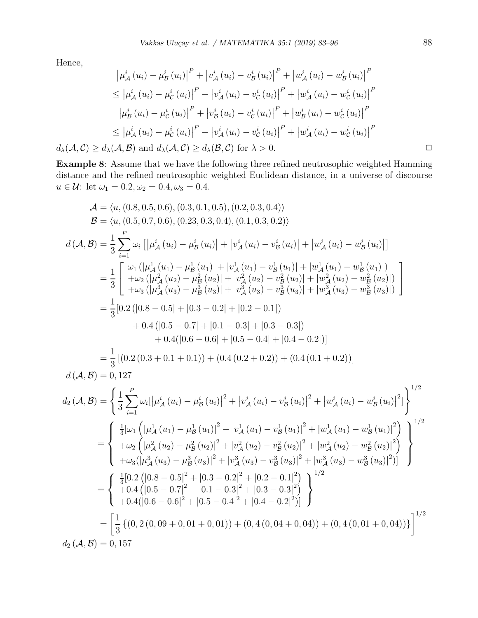Hence,

Hence,  
\n
$$
\left|\mu_{\mathcal{A}}^{i}(u_{i}) - \mu_{\mathcal{B}}^{i}(u_{i})\right|^{P} + \left|v_{\mathcal{A}}^{i}(u_{i}) - v_{\mathcal{B}}^{i}(u_{i})\right|^{P} + \left|w_{\mathcal{A}}^{i}(u_{i}) - w_{\mathcal{B}}^{i}(u_{i})\right|^{P}
$$
\n
$$
\leq \left|\mu_{\mathcal{A}}^{i}(u_{i}) - \mu_{\mathcal{C}}^{i}(u_{i})\right|^{P} + \left|v_{\mathcal{A}}^{i}(u_{i}) - v_{\mathcal{C}}^{i}(u_{i})\right|^{P} + \left|w_{\mathcal{A}}^{i}(u_{i}) - w_{\mathcal{C}}^{i}(u_{i})\right|^{P}
$$
\n
$$
\left|\mu_{\mathcal{B}}^{i}(u_{i}) - \mu_{\mathcal{C}}^{i}(u_{i})\right|^{P} + \left|v_{\mathcal{B}}^{i}(u_{i}) - v_{\mathcal{C}}^{i}(u_{i})\right|^{P} + \left|w_{\mathcal{B}}^{i}(u_{i}) - w_{\mathcal{C}}^{i}(u_{i})\right|^{P}
$$
\n
$$
\leq \left|\mu_{\mathcal{A}}^{i}(u_{i}) - \mu_{\mathcal{C}}^{i}(u_{i})\right|^{P} + \left|v_{\mathcal{A}}^{i}(u_{i}) - v_{\mathcal{C}}^{i}(u_{i})\right|^{P} + \left|w_{\mathcal{A}}^{i}(u_{i}) - w_{\mathcal{C}}^{i}(u_{i})\right|^{P}
$$
\n
$$
d_{\lambda}(\mathcal{A}, \mathcal{C}) \geq d_{\lambda}(\mathcal{A}, \mathcal{B}) \text{ and } d_{\lambda}(\mathcal{A}, \mathcal{C}) \geq d_{\lambda}(\mathcal{B}, \mathcal{C}) \text{ for } \lambda > 0.
$$

Example 8: Assume that we have the following three refined neutrosophic weighted Hamming distance and the refined neutrosophic weighted Euclidean distance, in a universe of discourse  $u \in \mathcal{U}$ : let  $\omega_1 = 0.2, \omega_2 = 0.4, \omega_3 = 0.4$ .

$$
\mathcal{A} = \langle u, (0.8, 0.5, 0.6), (0.3, 0.1, 0.5), (0.2, 0.3, 0.4) \rangle
$$
\n
$$
\mathcal{B} = \langle u, (0.5, 0.7, 0.6), (0.23, 0.3, 0.4), (0.1, 0.3, 0.2) \rangle
$$
\n
$$
d(\mathcal{A}, \mathcal{B}) = \frac{1}{3} \sum_{i=1}^{P} \omega_i \left[ \left| \mu_A^i (u_i) - \mu_B^i (u_i) \right| + \left| v_A^i (u_i) - v_B^i (u_i) \right| + \left| w_A^i (u_i) - w_B^i (u_i) \right| \right]
$$
\n
$$
= \frac{1}{3} \left[ \frac{\omega_1 \left( \left| \mu_A^1 (u_1) - \mu_B^1 (u_1) \right| + \left| v_A^1 (u_1) - v_B^1 (u_1) \right| + \left| w_A^1 (u_1) - w_B^1 (u_1) \right| \right)}{+ \omega_2 \left( \left| \mu_A^2 (u_2) - \mu_B^2 (u_2) \right| + \left| v_A^2 (u_2) - v_B^2 (u_2) \right| + \left| w_A^2 (u_2) - w_B^2 (u_2) \right| \right)} \right]
$$
\n
$$
= \frac{1}{3} \left[ 0.2 \left( \left| 0.8 - 0.5 \right| + \left| 0.3 - 0.2 \right| + \left| 0.2 - 0.1 \right| \right) + 0.4 \left( \left| 0.5 - 0.7 \right| + \left| 0.1 - 0.3 \right| + \left| 0.3 - 0.3 \right| \right) + 0.4 \left( \left| 0.6 - 0.6 \right| + \left| 0.5 - 0.4 \right| + \left| 0.4 - 0.2 \right| \right) \right]
$$
\n
$$
= \frac{1}{3} \left[ (0.2 \left( 0.3 + 0.1 + 0.1 \right)) + (0.4 \left( 0.2 + 0.2 \right)) + (0.4 \left( 0.1 + 0.2 \right)) \right]
$$
\n
$$
= d(\mathcal{A}, \mathcal{B})
$$

$$
d_2(\mathcal{A}, \mathcal{B}) = \left\{ \frac{1}{3} \sum_{i=1}^{P} \omega_i [\left| \mu_{\mathcal{A}}^i (u_i) - \mu_{\mathcal{B}}^i (u_i) \right|^2 + \left| v_{\mathcal{A}}^i (u_i) - v_{\mathcal{B}}^i (u_i) \right|^2 + \left| w_{\mathcal{A}}^i (u_i) - w_{\mathcal{B}}^i (u_i) \right|^2 \right\}^{1/2}
$$
  
\n
$$
= \left\{ \begin{array}{l} \frac{1}{3} [\omega_1 \left( \left| \mu_{\mathcal{A}}^1 (u_1) - \mu_{\mathcal{B}}^1 (u_1) \right|^2 + \left| v_{\mathcal{A}}^1 (u_1) - v_{\mathcal{B}}^1 (u_1) \right|^2 + \left| w_{\mathcal{A}}^1 (u_1) - w_{\mathcal{B}}^1 (u_1) \right|^2 \right) \right\}^{1/2}
$$
  
\n
$$
+ \omega_2 \left( \left| \mu_{\mathcal{A}}^2 (u_2) - \mu_{\mathcal{B}}^2 (u_2) \right|^2 + \left| v_{\mathcal{A}}^2 (u_2) - v_{\mathcal{B}}^2 (u_2) \right|^2 + \left| w_{\mathcal{A}}^2 (u_2) - w_{\mathcal{B}}^2 (u_2) \right|^2 \right\}
$$
  
\n
$$
+ \omega_3 \left( \left| \mu_{\mathcal{A}}^3 (u_3) - \mu_{\mathcal{B}}^3 (u_3) \right|^2 + \left| v_{\mathcal{A}}^3 (u_3) - v_{\mathcal{B}}^3 (u_3) \right|^2 + \left| w_{\mathcal{A}}^3 (u_3) - w_{\mathcal{B}}^3 (u_3) \right|^2 \right)\right\}
$$
  
\n
$$
= \begin{cases} \frac{1}{3} [0.2 \left( [0.8 - 0.5]^2 + [0.3 - 0.2]^2 + [0.2 - 0.1]^2 \right) \\ +0.4 ([0.5 - 0.7]^2 + [0.1 - 0.3]^2 + [0.3 - 0.3]^2] \\ +0.4 ([0.6 - 0.6]^2 + [0.5 - 0.4]^2 + [0.4 - 0.
$$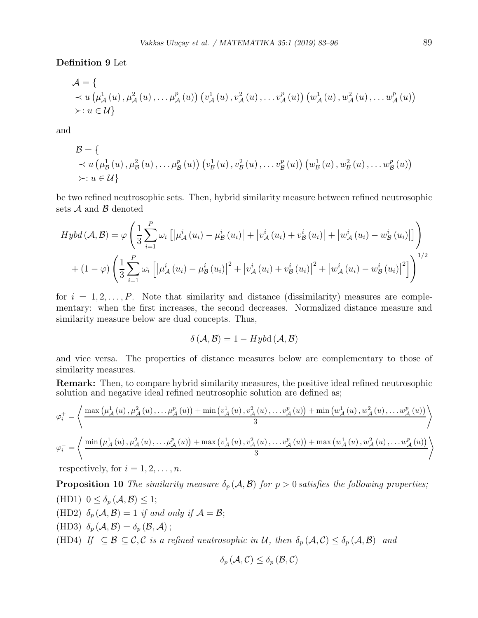Definition 9 Let

$$
\mathcal{A} = \{ (\mu_{\mathcal{A}}^{1}(u), \mu_{\mathcal{A}}^{2}(u), \dots, \mu_{\mathcal{A}}^{p}(u)) (v_{\mathcal{A}}^{1}(u), v_{\mathcal{A}}^{2}(u), \dots, v_{\mathcal{A}}^{p}(u)) (w_{\mathcal{A}}^{1}(u), w_{\mathcal{A}}^{2}(u), \dots, w_{\mathcal{A}}^{p}(u)) \}
$$
  
  $\succ : u \in \mathcal{U} \}$ 

and

$$
\mathcal{B} = \{ \times u \left( \mu_{\mathcal{B}}^1(u), \mu_{\mathcal{B}}^2(u), \ldots, \mu_{\mathcal{B}}^p(u) \right) \left( v_{\mathcal{B}}^1(u), v_{\mathcal{B}}^2(u), \ldots, v_{\mathcal{B}}^p(u) \right) \left( w_{\mathcal{B}}^1(u), w_{\mathcal{B}}^2(u), \ldots, w_{\mathcal{B}}^p(u) \right) \}
$$
  
 
$$
\succ : u \in \mathcal{U} \}
$$

be two refined neutrosophic sets. Then, hybrid similarity measure between refined neutrosophic sets  $A$  and  $B$  denoted

$$
Hybd\left(\mathcal{A},\mathcal{B}\right) = \varphi\left(\frac{1}{3}\sum_{i=1}^{P}\omega_{i}\left[\left|\mu_{\mathcal{A}}^{i}\left(u_{i}\right)-\mu_{\mathcal{B}}^{i}\left(u_{i}\right)\right|+\left|v_{\mathcal{A}}^{i}\left(u_{i}\right)+v_{\mathcal{B}}^{i}\left(u_{i}\right)\right|+\left|w_{\mathcal{A}}^{i}\left(u_{i}\right)-w_{\mathcal{B}}^{i}\left(u_{i}\right)\right|\right]\right) + (1-\varphi)\left(\frac{1}{3}\sum_{i=1}^{P}\omega_{i}\left[\left|\mu_{\mathcal{A}}^{i}\left(u_{i}\right)-\mu_{\mathcal{B}}^{i}\left(u_{i}\right)\right|^{2}+\left|v_{\mathcal{A}}^{i}\left(u_{i}\right)+v_{\mathcal{B}}^{i}\left(u_{i}\right)\right|^{2}+\left|w_{\mathcal{A}}^{i}\left(u_{i}\right)-w_{\mathcal{B}}^{i}\left(u_{i}\right)\right|^{2}\right]\right)^{1/2}
$$

for  $i = 1, 2, \ldots, P$ . Note that similarity and distance (dissimilarity) measures are complementary: when the first increases, the second decreases. Normalized distance measure and similarity measure below are dual concepts. Thus,

$$
\delta(\mathcal{A}, \mathcal{B}) = 1 - Hybd(\mathcal{A}, \mathcal{B})
$$

and vice versa. The properties of distance measures below are complementary to those of similarity measures.

Remark: Then, to compare hybrid similarity measures, the positive ideal refined neutrosophic solution and negative ideal refined neutrosophic solution are defined as;

$$
\varphi_i^+ = \left\langle \frac{\max\left(\mu_{\mathcal{A}}^1(u), \mu_{\mathcal{A}}^2(u), \ldots, \mu_{\mathcal{A}}^p(u)\right) + \min\left(v_{\mathcal{A}}^1(u), v_{\mathcal{A}}^2(u), \ldots, v_{\mathcal{A}}^p(u)\right) + \min\left(w_{\mathcal{A}}^1(u), w_{\mathcal{A}}^2(u), \ldots, w_{\mathcal{A}}^p(u)\right)}{3}\right\rangle
$$
  

$$
\varphi_i^- = \left\langle \frac{\min\left(\mu_{\mathcal{A}}^1(u), \mu_{\mathcal{A}}^2(u), \ldots, \mu_{\mathcal{A}}^p(u)\right) + \max\left(v_{\mathcal{A}}^1(u), v_{\mathcal{A}}^2(u), \ldots, v_{\mathcal{A}}^p(u)\right) + \max\left(w_{\mathcal{A}}^1(u), w_{\mathcal{A}}^2(u), \ldots, w_{\mathcal{A}}^p(u)\right)}{3}\right\rangle
$$

respectively, for  $i = 1, 2, \ldots, n$ .

**Proposition 10** The similarity measure  $\delta_p(\mathcal{A}, \mathcal{B})$  for  $p > 0$  satisfies the following properties;

(HD1)  $0 \leq \delta_p(\mathcal{A}, \mathcal{B}) \leq 1;$ (HD2)  $\delta_p(\mathcal{A}, \mathcal{B}) = 1$  if and only if  $\mathcal{A} = \mathcal{B}$ ; (HD3)  $\delta_p(\mathcal{A}, \mathcal{B}) = \delta_p(\mathcal{B}, \mathcal{A})$ ; (HD4) If  $\subseteq \mathcal{B} \subseteq \mathcal{C}, \mathcal{C}$  is a refined neutrosophic in U, then  $\delta_p(\mathcal{A}, \mathcal{C}) \leq \delta_p(\mathcal{A}, \mathcal{B})$  and

$$
\delta_{p}\left(\mathcal{A},\mathcal{C}\right)\leq\delta_{p}\left(\mathcal{B},\mathcal{C}\right)
$$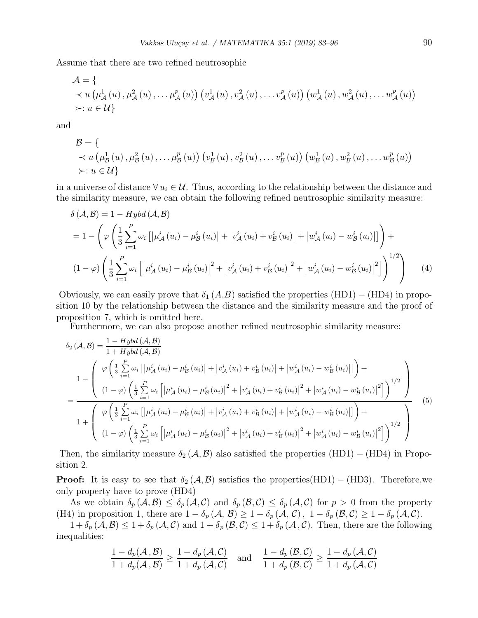Assume that there are two refined neutrosophic

$$
\mathcal{A} = \{ \times u \left( \mu_{\mathcal{A}}^1(u), \mu_{\mathcal{A}}^2(u), \ldots, \mu_{\mathcal{A}}^p(u) \right) \left( v_{\mathcal{A}}^1(u), v_{\mathcal{A}}^2(u), \ldots, v_{\mathcal{A}}^p(u) \right) \left( w_{\mathcal{A}}^1(u), w_{\mathcal{A}}^2(u), \ldots, w_{\mathcal{A}}^p(u) \right) \}
$$
  
  $\succ : u \in \mathcal{U} \}$ 

and

$$
\mathcal{B} = \{ \times u \left( \mu_{\mathcal{B}}^{1}(u), \mu_{\mathcal{B}}^{2}(u), \ldots, \mu_{\mathcal{B}}^{p}(u) \right) \left( v_{\mathcal{B}}^{1}(u), v_{\mathcal{B}}^{2}(u), \ldots, v_{\mathcal{B}}^{p}(u) \right) \left( w_{\mathcal{B}}^{1}(u), w_{\mathcal{B}}^{2}(u), \ldots, w_{\mathcal{B}}^{p}(u) \right) \}
$$
  
  $\succ : u \in \mathcal{U} \}$ 

in a universe of distance  $\forall u_i \in \mathcal{U}$ . Thus, according to the relationship between the distance and the similarity measure, we can obtain the following refined neutrosophic similarity measure:

$$
\delta (\mathcal{A}, \mathcal{B}) = 1 - Hybd (\mathcal{A}, \mathcal{B})
$$
  
=  $1 - \left( \varphi \left( \frac{1}{3} \sum_{i=1}^{P} \omega_i \left[ \left| \mu_{\mathcal{A}}^i (u_i) - \mu_{\mathcal{B}}^i (u_i) \right| + \left| v_{\mathcal{A}}^i (u_i) + v_{\mathcal{B}}^i (u_i) \right| + \left| w_{\mathcal{A}}^i (u_i) - w_{\mathcal{B}}^i (u_i) \right| \right] \right) +$   

$$
(1 - \varphi) \left( \frac{1}{3} \sum_{i=1}^{P} \omega_i \left[ \left| \mu_{\mathcal{A}}^i (u_i) - \mu_{\mathcal{B}}^i (u_i) \right|^2 + \left| v_{\mathcal{A}}^i (u_i) + v_{\mathcal{B}}^i (u_i) \right|^2 + \left| w_{\mathcal{A}}^i (u_i) - w_{\mathcal{B}}^i (u_i) \right|^2 \right] \right)^{1/2} \right) (4)
$$

Obviously, we can easily prove that  $\delta_1(A,B)$  satisfied the properties  $(HD1) - (HD4)$  in proposition 10 by the relationship between the distance and the similarity measure and the proof of proposition 7, which is omitted here.

Furthermore, we can also propose another refined neutrosophic similarity measure:

$$
\delta_{2}(\mathcal{A}, \mathcal{B}) = \frac{1 - Hybd(\mathcal{A}, \mathcal{B})}{1 + Hybd(\mathcal{A}, \mathcal{B})}
$$
\n
$$
1 - \left( \begin{array}{c} \varphi\left(\frac{1}{3}\sum_{i=1}^{P}\omega_{i}\left[|\mu_{\mathcal{A}}^{i}(u_{i}) - \mu_{\mathcal{B}}^{i}(u_{i})| + |v_{\mathcal{A}}^{i}(u_{i}) + v_{\mathcal{B}}^{i}(u_{i})| + |w_{\mathcal{A}}^{i}(u_{i}) - w_{\mathcal{B}}^{i}(u_{i})| \right] \right) + \\ \frac{1 - \left( \begin{array}{c} \left(1 - \varphi\right)\left(\frac{1}{3}\sum_{i=1}^{P}\omega_{i}\left[|\mu_{\mathcal{A}}^{i}(u_{i}) - \mu_{\mathcal{B}}^{i}(u_{i})|^{2} + |v_{\mathcal{A}}^{i}(u_{i}) + v_{\mathcal{B}}^{i}(u_{i})|^{2} + |w_{\mathcal{A}}^{i}(u_{i}) - w_{\mathcal{B}}^{i}(u_{i})|^{2} \right] \right)^{1/2} \right) \\ \frac{1}{1 + \left( \begin{array}{c} \varphi\left(\frac{1}{3}\sum_{i=1}^{P}\omega_{i}\left[|\mu_{\mathcal{A}}^{i}(u_{i}) - \mu_{\mathcal{B}}^{i}(u_{i})| + |v_{\mathcal{A}}^{i}(u_{i}) + v_{\mathcal{B}}^{i}(u_{i})| + |w_{\mathcal{A}}^{i}(u_{i}) - w_{\mathcal{B}}^{i}(u_{i})| \right] \right) + \\ \frac{1}{1 + \left( \left(1 - \varphi\right)\left(\frac{1}{3}\sum_{i=1}^{P}\omega_{i}\left[|\mu_{\mathcal{A}}^{i}(u_{i}) - \mu_{\mathcal{B}}^{i}(u_{i})|^{2} + |v_{\mathcal{A}}^{i}(u_{i}) + v_{\mathcal{B}}^{i}(u_{i})|^{2} + |w_{\mathcal{A}}^{i}(u_{i}) - w_{\mathcal{B}}^{i}(u_{i})|^{2} \right) \right)^{1/2} \end{array} \right) \end{array} \tag{5}
$$

Then, the similarity measure  $\delta_2(A, \mathcal{B})$  also satisfied the properties (HD1) – (HD4) in Proposition 2.

**Proof:** It is easy to see that  $\delta_2(\mathcal{A}, \mathcal{B})$  satisfies the properties(HD1) – (HD3). Therefore, we only property have to prove (HD4)

As we obtain  $\delta_p$   $(\mathcal{A}, \mathcal{B}) \leq \delta_p$   $(\mathcal{A}, \mathcal{C})$  and  $\delta_p$   $(\mathcal{B}, \mathcal{C}) \leq \delta_p$   $(\mathcal{A}, \mathcal{C})$  for  $p > 0$  from the property (H4) in proposition 1, there are  $1 - \delta_p(\mathcal{A}, \mathcal{B}) \geq 1 - \delta_p(\mathcal{A}, \mathcal{C})$ ,  $1 - \delta_p(\mathcal{B}, \mathcal{C}) \geq 1 - \delta_p(\mathcal{A}, \mathcal{C})$ .

 $1+\delta_p(\mathcal{A}, \mathcal{B}) \leq 1+\delta_p(\mathcal{A}, \mathcal{C})$  and  $1+\delta_p(\mathcal{B}, \mathcal{C}) \leq 1+\delta_p(\mathcal{A}, \mathcal{C})$ . Then, there are the following inequalities:

$$
\frac{1-d_p(\mathcal{A}, \mathcal{B})}{1+d_p(\mathcal{A}, \mathcal{B})} \ge \frac{1-d_p(\mathcal{A}, \mathcal{C})}{1+d_p(\mathcal{A}, \mathcal{C})} \quad \text{and} \quad \frac{1-d_p(\mathcal{B}, \mathcal{C})}{1+d_p(\mathcal{B}, \mathcal{C})} \ge \frac{1-d_p(\mathcal{A}, \mathcal{C})}{1+d_p(\mathcal{A}, \mathcal{C})}
$$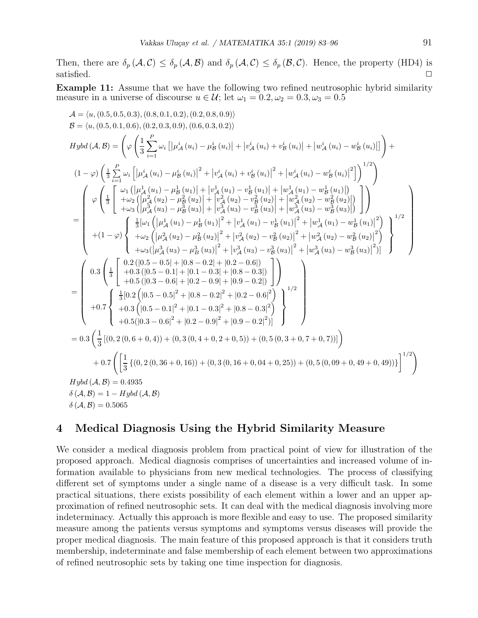Then, there are  $\delta_p(\mathcal{A}, \mathcal{C}) \leq \delta_p(\mathcal{A}, \mathcal{B})$  and  $\delta_p(\mathcal{A}, \mathcal{C}) \leq \delta_p(\mathcal{B}, \mathcal{C})$ . Hence, the property (HD4) is satisfied.  $\square$ 

Example 11: Assume that we have the following two refined neutrosophic hybrid similarity measure in a universe of discourse  $u \in \mathcal{U}$ ; let  $\omega_1 = 0.2, \omega_2 = 0.3, \omega_3 = 0.5$ 

$$
A = \langle u, (0.5, 0.5, 0.3), (0.8, 0.1, 0.2), (0.2, 0.8, 0.9) \rangle
$$
\n
$$
B = \langle u, (0.5, 0.1, 0.6), (0.2, 0.3, 0.9), (0.6, 0.3, 0.2) \rangle
$$
\n
$$
Hybd(A, B) = \left( \varphi \left( \frac{1}{3} \sum_{i=1}^{P} \omega_i \left[ \left| \mu_A^i (u_i) - \mu_B^i (u_i) \right| + \left| v_A^i (u_i) + v_B^i (u_i) \right| + \left| w_A^i (u_i) - w_B^i (u_i) \right| \right] \right) +
$$
\n
$$
(1 - \varphi) \left( \frac{1}{3} \sum_{i=1}^{P} \omega_i \left[ \left| \mu_A^i (u_i) - \mu_B^i (u_i) \right|^2 + \left| v_A^i (u_i) + v_B^i (u_i) \right|^2 + \left| w_A^i (u_i) - w_B^i (u_i) \right|^2 \right) \right)^{1/2} \right)
$$
\n
$$
= \left( \varphi \left( \frac{1}{3} \left[ \frac{\omega_1 (\left| \mu_A^1 (u_1) - \mu_B^1 (u_1) \right| + \left| v_A^1 (u_1) - v_B^1 (u_1) \right| + \left| v_A^1 (u_1) - v_B^1 (u_1) \right| \right) + \left| w_A^2 (u_2) - w_B^2 (u_2) \right| \right) \right)
$$
\n
$$
= \left( \frac{\varphi \left( \frac{1}{3} \left[ \frac{\omega_1 (\left| \mu_A^1 (u_1) - \mu_B^1 (u_1) \right| + \left| v_A^3 (u_2) - v_B^2 (u_2) \right| + \left| w_A^3 (u_3) - w_B^3 (u_3) \right| \right)}{\left| + \left| w_A^3 (u_3) - \mu_B^3 (u_3) \right| + \left| v_A^3 (u_3) - v_B^3 (u_2) \right| \right)^2 + \left| w_A^3 (u_1) - w_B^1 (u_1) \right|^2 \right)}
$$
\n
$$
+ (1 - \varphi) \left\{ \frac{
$$

## 4 Medical Diagnosis Using the Hybrid Similarity Measure

We consider a medical diagnosis problem from practical point of view for illustration of the proposed approach. Medical diagnosis comprises of uncertainties and increased volume of information available to physicians from new medical technologies. The process of classifying different set of symptoms under a single name of a disease is a very difficult task. In some practical situations, there exists possibility of each element within a lower and an upper approximation of refined neutrosophic sets. It can deal with the medical diagnosis involving more indeterminacy. Actually this approach is more flexible and easy to use. The proposed similarity measure among the patients versus symptoms and symptoms versus diseases will provide the proper medical diagnosis. The main feature of this proposed approach is that it considers truth membership, indeterminate and false membership of each element between two approximations of refined neutrosophic sets by taking one time inspection for diagnosis.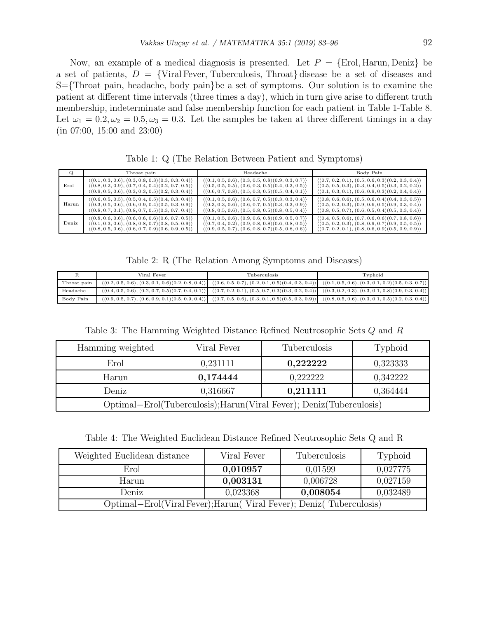Now, an example of a medical diagnosis is presented. Let  $P = \{\text{Erol}, \text{Harun}, \text{Deniz}\}\)$ a set of patients,  $D = \{Viral Fever, Tuberculosis, Throat\}$  disease be a set of diseases and S={Throat pain, headache, body pain}be a set of symptoms. Our solution is to examine the patient at different time intervals (three times a day), which in turn give arise to different truth membership, indeterminate and false membership function for each patient in Table 1-Table 8. Let  $\omega_1 = 0.2, \omega_2 = 0.5, \omega_3 = 0.3$ . Let the samples be taken at three different timings in a day (in 07:00, 15:00 and 23:00)

| Q     | Throat pain                                                         | Headache                                                            | Body Pain                                                           |
|-------|---------------------------------------------------------------------|---------------------------------------------------------------------|---------------------------------------------------------------------|
| Erol  | $\langle (0.1, 0.3, 0.6), (0.3, 0.8, 0.3), (0.3, 0.3, 0.4) \rangle$ | $\langle (0.1, 0.5, 0.6), (0.3, 0.5, 0.8)(0.9, 0.3, 0.7) \rangle$   | $(0.7, 0.2, 0.1), (0.5, 0.6, 0.3)(0.2, 0.3, 0.4)$                   |
|       | $(0.8, 0.2, 0.9), (0.7, 0.4, 0.4)(0.2, 0.7, 0.5)$                   | $\langle (0.5, 0.5, 0.5), (0.6, 0.3, 0.5), (0.4, 0.3, 0.5) \rangle$ | $( (0.5, 0.5, 0.3), (0.3, 0.4, 0.5) (0.3, 0.2, 0.2) )$              |
|       | $( (0.9, 0.5, 0.6), (0.3, 0.3, 0.5) (0.2, 0.3, 0.4) )$              | $\langle (0.6, 0.7, 0.8), (0.5, 0.3, 0.5)(0.5, 0.4, 0.1) \rangle$   | $(0.1, 0.3, 0.1), (0.6, 0.9, 0.3)(0.2, 0.4, 0.4)$                   |
| Harun | $(0.6, 0.5, 0.5), (0.5, 0.4, 0.5)(0.4, 0.3, 0.4)$                   | $\langle (0.1, 0.5, 0.6), (0.6, 0.7, 0.5)(0.3, 0.3, 0.4) \rangle$   | $(0.8, 0.6, 0.6), (0.5, 0.6, 0.4)(0.4, 0.3, 0.5)$                   |
|       | $\langle (0.3, 0.5, 0.6), (0.6, 0.9, 0.4)(0.5, 0.3, 0.9) \rangle$   | $\langle (0.3, 0.3, 0.6), (0.6, 0.7, 0.5)(0.3, 0.3, 0.9) \rangle$   | $( (0.5, 0.2, 0.3), (0.9, 0.6, 0.5) (0.9, 0.3, 0.4) )$              |
|       | $\langle (0.8, 0.7, 0.1), (0.8, 0.7, 0.5)(0.3, 0.7, 0.4) \rangle$   | $\langle (0.8, 0.5, 0.6), (0.5, 0.8, 0.5)(0.8, 0.5, 0.4) \rangle$   | $(0.8, 0.5, 0.7), (0.6, 0.5, 0.4)(0.5, 0.3, 0.4)$                   |
| Deniz | $(0.8, 0.6, 0.6), (0.6, 0.6, 0.6)$ $(0.6, 0.7, 0.5)$                | $\langle (0.1, 0.5, 0.6), (0.9, 0.6, 0.8)(0.9, 0.5, 0.7) \rangle$   | $\langle (0.4, 0.5, 0.6), (0.7, 0.6, 0.6), (0.7, 0.8, 0.6) \rangle$ |
|       | $( (0.1, 0.3, 0.6), (0.8, 0.8, 0.7) (0.8, 0.5, 0.9) )$              | $\langle (0.7, 0.4, 0.2), (0.9, 0.8, 0.8), (0.6, 0.8, 0.5) \rangle$ | $( (0.5, 0.2, 0.3), (0.8, 0.9, 0.7) (0.9, 0.5, 0.5) )$              |
|       | $\langle (0.8, 0.5, 0.6), (0.6, 0.7, 0.9)(0.6, 0.9, 0.5) \rangle$   | $\langle (0.9, 0.5, 0.7), (0.6, 0.8, 0.7), (0.5, 0.8, 0.6) \rangle$ | $( (0.7, 0.2, 0.1), (0.8, 0.6, 0.9) (0.5, 0.9, 0.9) )$              |

Table 1: Q (The Relation Between Patient and Symptoms)

Table 2: R (The Relation Among Symptoms and Diseases)

|             | Viral Fever- | Tuberculosis                                                                                                                                                                                                | Typhoid |
|-------------|--------------|-------------------------------------------------------------------------------------------------------------------------------------------------------------------------------------------------------------|---------|
| Throat pain |              | $\langle (0.2, 0.5, 0.6), (0.3, 0.1, 0.6), (0.2, 0.8, 0.4) \rangle$ $\langle (0.6, 0.5, 0.7), (0.2, 0.1, 0.5), (0.4, 0.3, 0.4) \rangle$ $\langle (0.1, 0.5, 0.6), (0.3, 0.1, 0.2), (0.5, 0.3, 0.7) \rangle$ |         |
| Headache    |              | $\langle (0.4, 0.5, 0.6), (0.2, 0.7, 0.5), (0.7, 0.4, 0.1) \rangle$ $\langle (0.7, 0.2, 0.1), (0.5, 0.7, 0.3), (0.3, 0.2, 0.4) \rangle$ $\langle (0.3, 0.2, 0.3), (0.3, 0.1, 0.8), (0.9, 0.3, 0.4) \rangle$ |         |
| Body Pain   |              | $\langle (0.9, 0.5, 0.7), (0.6, 0.9, 0.1), (0.5, 0.9, 0.4) \rangle$ $\langle (0.7, 0.5, 0.6), (0.3, 0.1, 0.5), (0.5, 0.3, 0.9) \rangle$ $\langle (0.8, 0.5, 0.6), (0.3, 0.1, 0.5), (0.2, 0.3, 0.4) \rangle$ |         |

Table 3: The Hamming Weighted Distance Refined Neutrosophic Sets Q and R

| Hamming weighted                                                    | Viral Fever | Tuberculosis | Typhoid  |  |  |
|---------------------------------------------------------------------|-------------|--------------|----------|--|--|
| Erol                                                                | 0,231111    | 0,222222     | 0,323333 |  |  |
| Harun                                                               | 0,174444    | 0.222222     | 0.342222 |  |  |
| 0,211111<br>Deniz<br>0,316667<br>0,364444                           |             |              |          |  |  |
| Optimal-Erol(Tuberculosis); Harun(Viral Fever); Deniz(Tuberculosis) |             |              |          |  |  |

Table 4: The Weighted Euclidean Distance Refined Neutrosophic Sets Q and R

| Weighted Euclidean distance                                        | Viral Fever | Tuberculosis | Typhoid  |
|--------------------------------------------------------------------|-------------|--------------|----------|
| Erol                                                               | 0,010957    | 0,01599      | 0,027775 |
| Harun                                                              | 0,003131    | 0,006728     | 0,027159 |
| Deniz                                                              | 0,023368    | 0,008054     | 0,032489 |
| Optimal-Erol(Viral Fever); Harun(Viral Fever); Deniz(Tuberculosis) |             |              |          |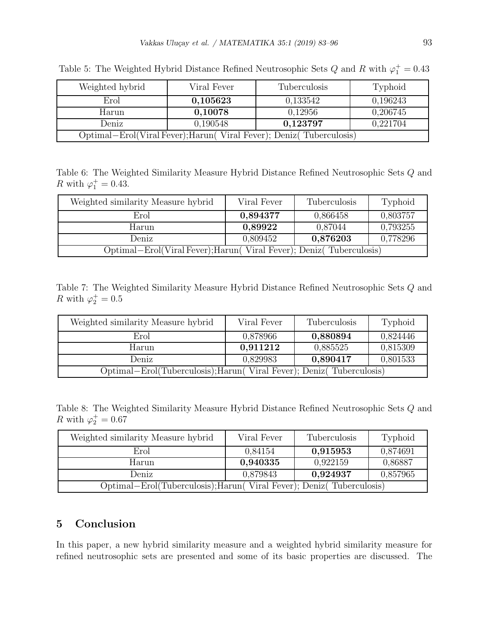| Weighted hybrid                                                    | Viral Fever | Tuberculosis | Typhoid  |  |  |
|--------------------------------------------------------------------|-------------|--------------|----------|--|--|
| Erol                                                               | 0,105623    | 0,133542     | 0,196243 |  |  |
| Harun                                                              | 0,10078     | 0,12956      | 0,206745 |  |  |
| 0,221704<br>0,123797<br>0,190548<br>Deniz                          |             |              |          |  |  |
| Optimal-Erol(Viral Fever); Harun(Viral Fever); Deniz(Tuberculosis) |             |              |          |  |  |

Table 5: The Weighted Hybrid Distance Refined Neutrosophic Sets  $Q$  and  $R$  with  $\varphi_1^+ = 0.43$ 

Table 6: The Weighted Similarity Measure Hybrid Distance Refined Neutrosophic Sets Q and R with  $\varphi_1^+ = 0.43$ .

| Weighted similarity Measure hybrid                                 | Viral Fever | Tuberculosis | Typhoid  |
|--------------------------------------------------------------------|-------------|--------------|----------|
| Erol                                                               | 0,894377    | 0,866458     | 0,803757 |
| Harun                                                              | 0,89922     | 0,87044      | 0,793255 |
| Deniz                                                              | 0.809452    | 0,876203     | 0,778296 |
| Optimal–Erol(Viral Fever); Harun(Viral Fever); Deniz(Tuberculosis) |             |              |          |

Table 7: The Weighted Similarity Measure Hybrid Distance Refined Neutrosophic Sets Q and R with  $\varphi_2^+ = 0.5$ 

| Weighted similarity Measure hybrid                                  | Viral Fever | <b>Tuberculosis</b> | Typhoid  |
|---------------------------------------------------------------------|-------------|---------------------|----------|
| Erol                                                                | 0.878966    | 0,880894            | 0,824446 |
| Harun                                                               | 0,911212    | 0,885525            | 0,815309 |
| Deniz                                                               | 0,829983    | 0,890417            | 0,801533 |
| Optimal-Erol(Tuberculosis); Harun(Viral Fever); Deniz(Tuberculosis) |             |                     |          |

Table 8: The Weighted Similarity Measure Hybrid Distance Refined Neutrosophic Sets Q and R with  $\varphi_2^+ = 0.67$ 

| Weighted similarity Measure hybrid                                  | Viral Fever | Tuberculosis | Typhoid  |
|---------------------------------------------------------------------|-------------|--------------|----------|
| Erol                                                                | 0,84154     | 0,915953     | 0,874691 |
| Harun                                                               | 0,940335    | 0,922159     | 0,86887  |
| Deniz                                                               | 0,879843    | 0,924937     | 0,857965 |
| Optimal-Erol(Tuberculosis); Harun(Viral Fever); Deniz(Tuberculosis) |             |              |          |

# 5 Conclusion

In this paper, a new hybrid similarity measure and a weighted hybrid similarity measure for refined neutrosophic sets are presented and some of its basic properties are discussed. The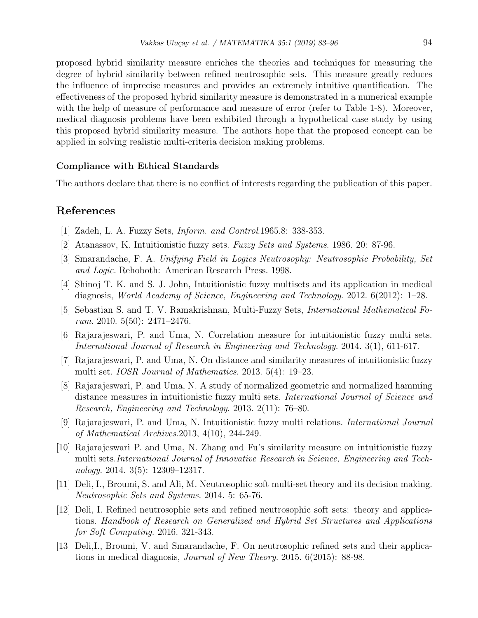proposed hybrid similarity measure enriches the theories and techniques for measuring the degree of hybrid similarity between refined neutrosophic sets. This measure greatly reduces the influence of imprecise measures and provides an extremely intuitive quantification. The effectiveness of the proposed hybrid similarity measure is demonstrated in a numerical example with the help of measure of performance and measure of error (refer to Table 1-8). Moreover, medical diagnosis problems have been exhibited through a hypothetical case study by using this proposed hybrid similarity measure. The authors hope that the proposed concept can be applied in solving realistic multi-criteria decision making problems.

#### Compliance with Ethical Standards

The authors declare that there is no conflict of interests regarding the publication of this paper.

## References

- [1] Zadeh, L. A. Fuzzy Sets, Inform. and Control.1965.8: 338-353.
- [2] Atanassov, K. Intuitionistic fuzzy sets. Fuzzy Sets and Systems. 1986. 20: 87-96.
- [3] Smarandache, F. A. Unifying Field in Logics Neutrosophy: Neutrosophic Probability, Set and Logic. Rehoboth: American Research Press. 1998.
- [4] Shinoj T. K. and S. J. John, Intuitionistic fuzzy multisets and its application in medical diagnosis, World Academy of Science, Engineering and Technology. 2012. 6(2012): 1–28.
- [5] Sebastian S. and T. V. Ramakrishnan, Multi-Fuzzy Sets, International Mathematical Forum. 2010. 5(50): 2471–2476.
- [6] Rajarajeswari, P. and Uma, N. Correlation measure for intuitionistic fuzzy multi sets. International Journal of Research in Engineering and Technology. 2014. 3(1), 611-617.
- [7] Rajarajeswari, P. and Uma, N. On distance and similarity measures of intuitionistic fuzzy multi set. IOSR Journal of Mathematics. 2013. 5(4): 19–23.
- [8] Rajarajeswari, P. and Uma, N. A study of normalized geometric and normalized hamming distance measures in intuitionistic fuzzy multi sets. International Journal of Science and Research, Engineering and Technology. 2013. 2(11): 76–80.
- [9] Rajarajeswari, P. and Uma, N. Intuitionistic fuzzy multi relations. International Journal of Mathematical Archives.2013, 4(10), 244-249.
- [10] Rajarajeswari P. and Uma, N. Zhang and Fu's similarity measure on intuitionistic fuzzy multi sets.International Journal of Innovative Research in Science, Engineering and Technology. 2014. 3(5): 12309–12317.
- [11] Deli, I., Broumi, S. and Ali, M. Neutrosophic soft multi-set theory and its decision making. Neutrosophic Sets and Systems. 2014. 5: 65-76.
- [12] Deli, I. Refined neutrosophic sets and refined neutrosophic soft sets: theory and applications. Handbook of Research on Generalized and Hybrid Set Structures and Applications for Soft Computing. 2016. 321-343.
- [13] Deli,I., Broumi, V. and Smarandache, F. On neutrosophic refined sets and their applications in medical diagnosis, Journal of New Theory. 2015. 6(2015): 88-98.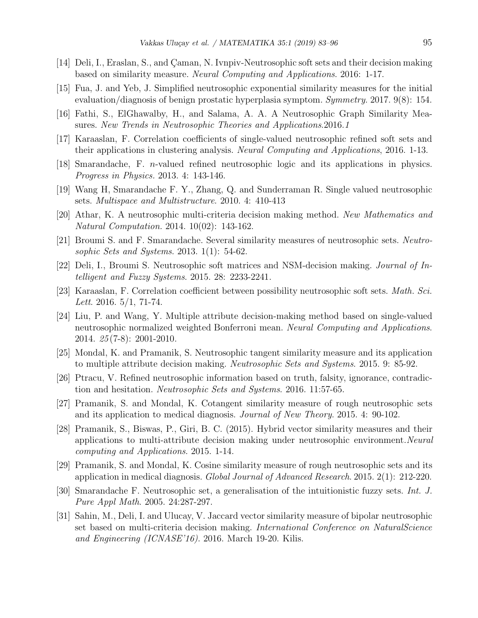- [14] Deli, I., Eraslan, S., and Çaman, N. Ivnpiv-Neutrosophic soft sets and their decision making based on similarity measure. Neural Computing and Applications. 2016: 1-17.
- [15] Fua, J. and Yeb, J. Simplified neutrosophic exponential similarity measures for the initial evaluation/diagnosis of benign prostatic hyperplasia symptom. Symmetry. 2017. 9(8): 154.
- [16] Fathi, S., ElGhawalby, H., and Salama, A. A. A Neutrosophic Graph Similarity Measures. New Trends in Neutrosophic Theories and Applications.2016.1
- [17] Karaaslan, F. Correlation coefficients of single-valued neutrosophic refined soft sets and their applications in clustering analysis. Neural Computing and Applications, 2016. 1-13.
- [18] Smarandache, F. n-valued refined neutrosophic logic and its applications in physics. Progress in Physics. 2013. 4: 143-146.
- [19] Wang H, Smarandache F. Y., Zhang, Q. and Sunderraman R. Single valued neutrosophic sets. Multispace and Multistructure. 2010. 4: 410-413
- [20] Athar, K. A neutrosophic multi-criteria decision making method. New Mathematics and Natural Computation. 2014. 10(02): 143-162.
- [21] Broumi S. and F. Smarandache. Several similarity measures of neutrosophic sets. Neutrosophic Sets and Systems. 2013. 1(1): 54-62.
- [22] Deli, I., Broumi S. Neutrosophic soft matrices and NSM-decision making. Journal of Intelligent and Fuzzy Systems. 2015. 28: 2233-2241.
- [23] Karaaslan, F. Correlation coefficient between possibility neutrosophic soft sets. Math. Sci. Lett. 2016. 5/1, 71-74.
- [24] Liu, P. and Wang, Y. Multiple attribute decision-making method based on single-valued neutrosophic normalized weighted Bonferroni mean. Neural Computing and Applications. 2014. 25 (7-8): 2001-2010.
- [25] Mondal, K. and Pramanik, S. Neutrosophic tangent similarity measure and its application to multiple attribute decision making. *Neutrosophic Sets and Systems*. 2015. 9: 85-92.
- [26] Ptracu, V. Refined neutrosophic information based on truth, falsity, ignorance, contradiction and hesitation. Neutrosophic Sets and Systems. 2016. 11:57-65.
- [27] Pramanik, S. and Mondal, K. Cotangent similarity measure of rough neutrosophic sets and its application to medical diagnosis. Journal of New Theory. 2015. 4: 90-102.
- [28] Pramanik, S., Biswas, P., Giri, B. C. (2015). Hybrid vector similarity measures and their applications to multi-attribute decision making under neutrosophic environment. Neural computing and Applications. 2015. 1-14.
- [29] Pramanik, S. and Mondal, K. Cosine similarity measure of rough neutrosophic sets and its application in medical diagnosis. Global Journal of Advanced Research. 2015. 2(1): 212-220.
- [30] Smarandache F. Neutrosophic set, a generalisation of the intuitionistic fuzzy sets. Int. J. Pure Appl Math. 2005. 24:287-297.
- [31] Sahin, M., Deli, I. and Ulucay, V. Jaccard vector similarity measure of bipolar neutrosophic set based on multi-criteria decision making. International Conference on NaturalScience and Engineering (ICNASE'16). 2016. March 19-20. Kilis.